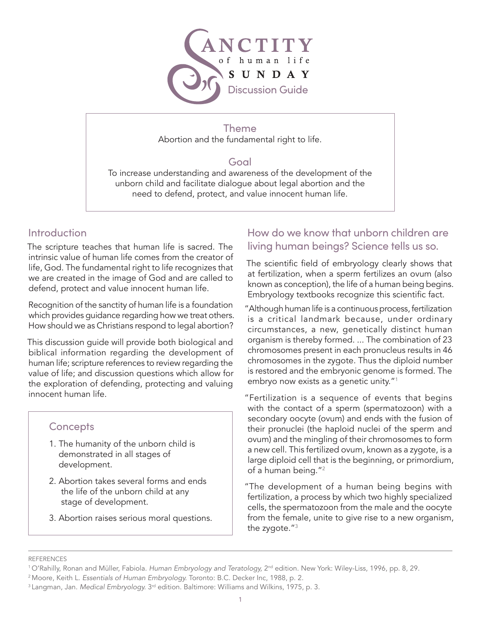

Theme Abortion and the fundamental right to life.

### Goal

To increase understanding and awareness of the development of the unborn child and facilitate dialogue about legal abortion and the need to defend, protect, and value innocent human life.

## Introduction

The scripture teaches that human life is sacred. The intrinsic value of human life comes from the creator of life, God. The fundamental right to life recognizes that we are created in the image of God and are called to defend, protect and value innocent human life.

Recognition of the sanctity of human life is a foundation which provides guidance regarding how we treat others. How should we as Christians respond to legal abortion?

This discussion guide will provide both biological and biblical information regarding the development of human life; scripture references to review regarding the value of life; and discussion questions which allow for the exploration of defending, protecting and valuing innocent human life.

### **Concepts**

- 1. The humanity of the unborn child is demonstrated in all stages of development.
- 2. Abortion takes several forms and ends the life of the unborn child at any stage of development.
- 3. Abortion raises serious moral questions.

# How do we know that unborn children are living human beings? Science tells us so.

The scientific field of embryology clearly shows that at fertilization, when a sperm fertilizes an ovum (also known as conception), the life of a human being begins. Embryology textbooks recognize this scientific fact.

"Although human life is a continuous process, fertilization is a critical landmark because, under ordinary circumstances, a new, genetically distinct human organism is thereby formed. ... The combination of 23 chromosomes present in each pronucleus results in 46 chromosomes in the zygote. Thus the diploid number is restored and the embryonic genome is formed. The embryo now exists as a genetic unity."1

"Fertilization is a sequence of events that begins with the contact of a sperm (spermatozoon) with a secondary oocyte (ovum) and ends with the fusion of their pronuclei (the haploid nuclei of the sperm and ovum) and the mingling of their chromosomes to form a new cell. This fertilized ovum, known as a zygote, is a large diploid cell that is the beginning, or primordium, of a human being."2

"The development of a human being begins with fertilization, a process by which two highly specialized cells, the spermatozoon from the male and the oocyte from the female, unite to give rise to a new organism, the zygote."3

#### REFERENCES

<sup>&</sup>lt;sup>1</sup> O'Rahilly, Ronan and Müller, Fabiola. *Human Embryology and Teratology*, 2<sup>nd</sup> edition. New York: Wiley-Liss, 1996, pp. 8, 29.

<sup>2</sup> Moore, Keith L. *Essentials of Human Embryology.* Toronto: B.C. Decker Inc, 1988, p. 2.

<sup>&</sup>lt;sup>3</sup> Langman, Jan. *Medical Embryology*. <sup>3rd</sup> edition. Baltimore: Williams and Wilkins, 1975, p. 3.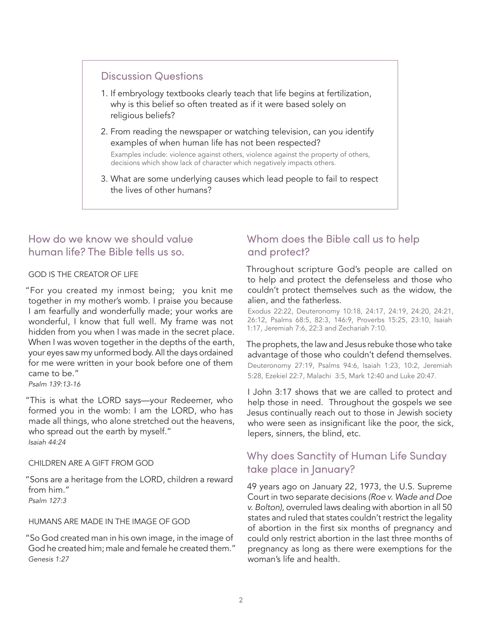### Discussion Questions

- 1. If embryology textbooks clearly teach that life begins at fertilization, why is this belief so often treated as if it were based solely on religious beliefs?
- 2. From reading the newspaper or watching television, can you identify examples of when human life has not been respected?

 Examples include: violence against others, violence against the property of others, decisions which show lack of character which negatively impacts others.

3. What are some underlying causes which lead people to fail to respect the lives of other humans?

### How do we know we should value human life? The Bible tells us so.

### GOD IS THE CREATOR OF LIFE

"For you created my inmost being; you knit me together in my mother's womb. I praise you because I am fearfully and wonderfully made; your works are wonderful, I know that full well. My frame was not hidden from you when I was made in the secret place. When I was woven together in the depths of the earth, your eyes saw my unformed body. All the days ordained for me were written in your book before one of them came to be."

*Psalm 139:13-16*

"This is what the LORD says—your Redeemer, who formed you in the womb: I am the LORD, who has made all things, who alone stretched out the heavens, who spread out the earth by myself." *Isaiah 44:24*

#### CHILDREN ARE A GIFT FROM GOD

"Sons are a heritage from the LORD, children a reward from him." *Psalm 127:3*

#### HUMANS ARE MADE IN THE IMAGE OF GOD

"So God created man in his own image, in the image of God he created him; male and female he created them." *Genesis 1:27*

# Whom does the Bible call us to help and protect?

Throughout scripture God's people are called on to help and protect the defenseless and those who couldn't protect themselves such as the widow, the alien, and the fatherless.

Exodus 22:22, Deuteronomy 10:18, 24:17, 24:19, 24:20, 24:21, 26:12, Psalms 68:5, 82:3, 146:9, Proverbs 15:25, 23:10, Isaiah 1:17, Jeremiah 7:6, 22:3 and Zechariah 7:10.

#### The prophets, the law and Jesus rebuke those who take advantage of those who couldn't defend themselves. Deuteronomy 27:19, Psalms 94:6, Isaiah 1:23, 10:2, Jeremiah 5:28, Ezekiel 22:7, Malachi 3:5, Mark 12:40 and Luke 20:47.

I John 3:17 shows that we are called to protect and help those in need. Throughout the gospels we see Jesus continually reach out to those in Jewish society who were seen as insignificant like the poor, the sick, lepers, sinners, the blind, etc.

# Why does Sanctity of Human Life Sunday take place in January?

49 years ago on January 22, 1973, the U.S. Supreme Court in two separate decisions *(Roe v. Wade and Doe v. Bolton),* overruled laws dealing with abortion in all 50 states and ruled that states couldn't restrict the legality of abortion in the first six months of pregnancy and could only restrict abortion in the last three months of pregnancy as long as there were exemptions for the woman's life and health.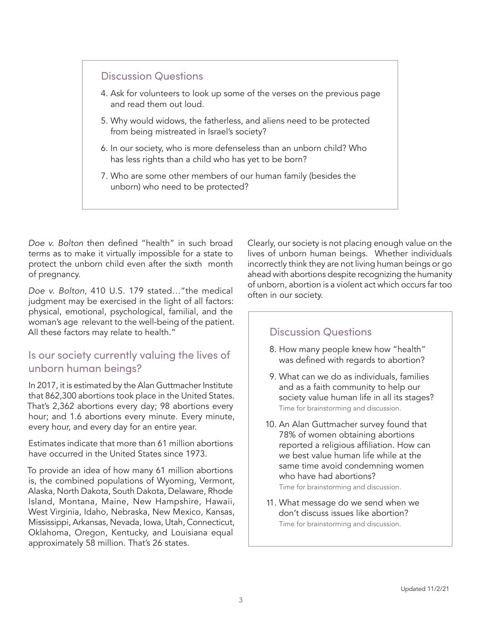### Discussion Questions

- 4. Ask for volunteers to look up some of the verses on the previous page and read them out loud.
- 5. Why would widows, the fatherless, and aliens need to be protected from being mistreated in Israel's society?
- 6. In our society, who is more defenseless than an unborn child? Who has less rights than a child who has yet to be born?
- 7. Who are some other members of our human family (besides the unborn) who need to be protected?

*Doe v. Bolton* then defined "health" in such broad terms as to make it virtually impossible for a state to protect the unborn child even after the sixth month of pregnancy.

*Doe v. Bolton,* 410 U.S. 179 stated…"the medical judgment may be exercised in the light of all factors: physical, emotional, psychological, familial, and the woman's age relevant to the well-being of the patient. All these factors may relate to health."

### Is our society currently valuing the lives of unborn human beings?

In 2017, it is estimated by the Alan Guttmacher Institute that 862,300 abortions took place in the United States. That's 2,362 abortions every day; 98 abortions every hour; and 1.6 abortions every minute. Every minute, every hour, and every day for an entire year.

Estimates indicate that more than 61 million abortions have occurred in the United States since 1973.

To provide an idea of how many 61 million abortions is, the combined populations of Wyoming, Vermont, Alaska, North Dakota, South Dakota, Delaware, Rhode Island, Montana, Maine, New Hampshire, Hawaii, West Virginia, Idaho, Nebraska, New Mexico, Kansas, Mississippi, Arkansas, Nevada, Iowa, Utah, Connecticut, Oklahoma, Oregon, Kentucky, and Louisiana equal approximately 58 million. That's 26 states.

Clearly, our society is not placing enough value on the lives of unborn human beings. Whether individuals incorrectly think they are not living human beings or go ahead with abortions despite recognizing the humanity of unborn, abortion is a violent act which occurs far too often in our society.

## Discussion Questions

- 8. How many people knew how "health" was defined with regards to abortion?
- 9. What can we do as individuals, families and as a faith community to help our society value human life in all its stages? Time for brainstorming and discussion.
- 0. An Alan Guttmacher survey found that 1 78% of women obtaining abortions reported a religious affiliation. How can we best value human life while at the same time avoid condemning women who have had abortions?

Time for brainstorming and discussion.

11. What message do we send when we don't discuss issues like abortion? Time for brainstorming and discussion.